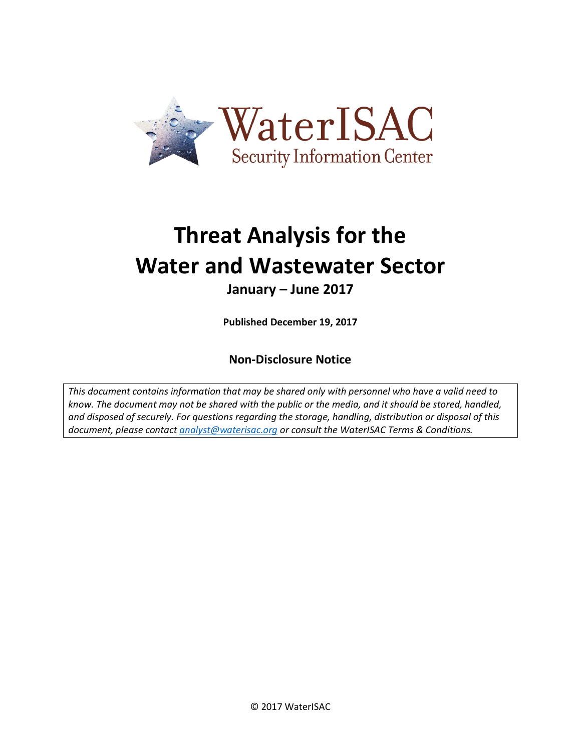

# **Threat Analysis for the Water and Wastewater Sector**

# **January – June 2017**

**Published December 19, 2017**

# **Non-Disclosure Notice**

*This document contains information that may be shared only with personnel who have a valid need to know. The document may not be shared with the public or the media, and it should be stored, handled, and disposed of securely. For questions regarding the storage, handling, distribution or disposal of this document, please contact [analyst@waterisac.org](mailto:analyst@waterisac.org) or consult the WaterISAC Terms & Conditions.*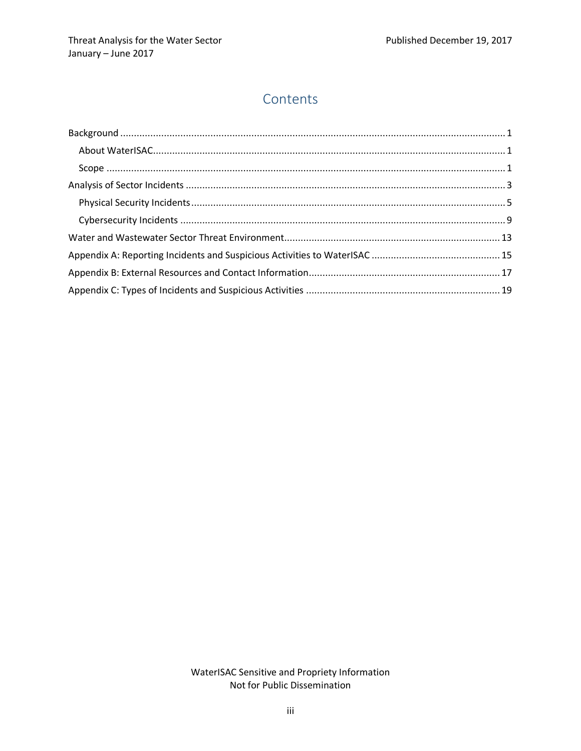# **Contents**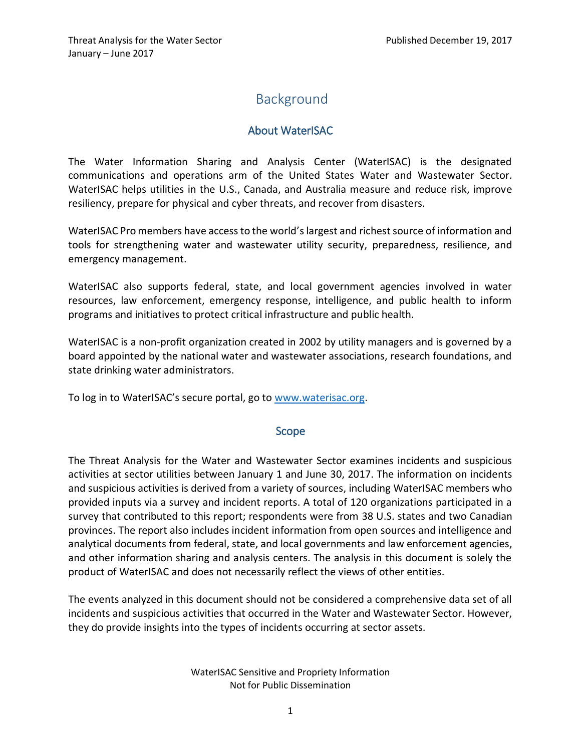# <span id="page-4-0"></span>Background

# About WaterISAC

<span id="page-4-1"></span>The Water Information Sharing and Analysis Center (WaterISAC) is the designated communications and operations arm of the United States Water and Wastewater Sector. WaterISAC helps utilities in the U.S., Canada, and Australia measure and reduce risk, improve resiliency, prepare for physical and cyber threats, and recover from disasters.

WaterISAC Pro members have access to the world's largest and richest source of information and tools for strengthening water and wastewater utility security, preparedness, resilience, and emergency management.

WaterISAC also supports federal, state, and local government agencies involved in water resources, law enforcement, emergency response, intelligence, and public health to inform programs and initiatives to protect critical infrastructure and public health.

WaterISAC is a non-profit organization created in 2002 by utility managers and is governed by a board appointed by the national water and wastewater associations, research foundations, and state drinking water administrators.

<span id="page-4-2"></span>To log in to WaterISAC's secure portal, go to [www.waterisac.org.](http://www.waterisac.org/)

# Scope

The Threat Analysis for the Water and Wastewater Sector examines incidents and suspicious activities at sector utilities between January 1 and June 30, 2017. The information on incidents and suspicious activities is derived from a variety of sources, including WaterISAC members who provided inputs via a survey and incident reports. A total of 120 organizations participated in a survey that contributed to this report; respondents were from 38 U.S. states and two Canadian provinces. The report also includes incident information from open sources and intelligence and analytical documents from federal, state, and local governments and law enforcement agencies, and other information sharing and analysis centers. The analysis in this document is solely the product of WaterISAC and does not necessarily reflect the views of other entities.

The events analyzed in this document should not be considered a comprehensive data set of all incidents and suspicious activities that occurred in the Water and Wastewater Sector. However, they do provide insights into the types of incidents occurring at sector assets.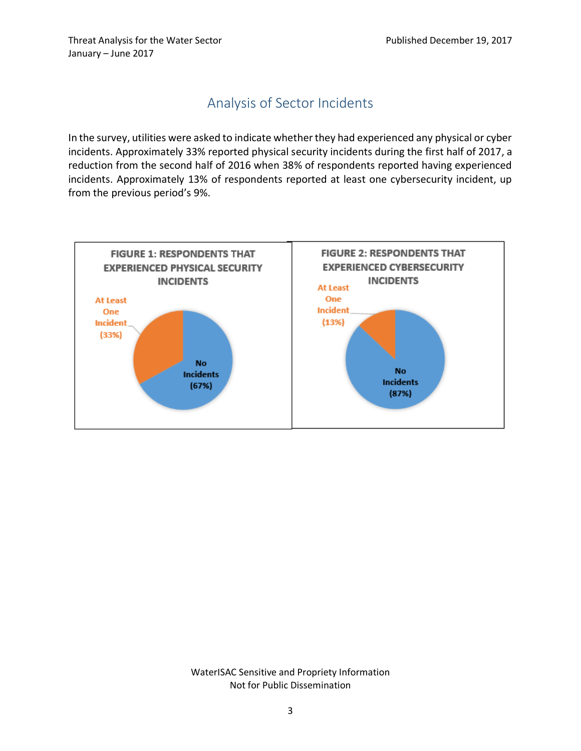# Analysis of Sector Incidents

<span id="page-6-0"></span>In the survey, utilities were asked to indicate whether they had experienced any physical or cyber incidents. Approximately 33% reported physical security incidents during the first half of 2017, a reduction from the second half of 2016 when 38% of respondents reported having experienced incidents. Approximately 13% of respondents reported at least one cybersecurity incident, up from the previous period's 9%.

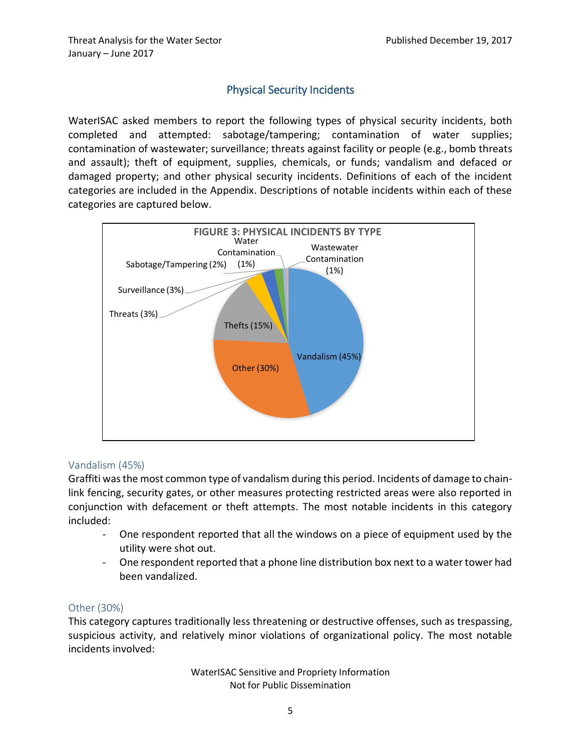# Physical Security Incidents

<span id="page-8-0"></span>WaterISAC asked members to report the following types of physical security incidents, both completed and attempted: sabotage/tampering; contamination of water supplies; contamination of wastewater; surveillance; threats against facility or people (e.g., bomb threats and assault); theft of equipment, supplies, chemicals, or funds; vandalism and defaced or damaged property; and other physical security incidents. Definitions of each of the incident categories are included in the Appendix. Descriptions of notable incidents within each of these categories are captured below.



# Vandalism (45%)

Graffiti was the most common type of vandalism during this period. Incidents of damage to chainlink fencing, security gates, or other measures protecting restricted areas were also reported in conjunction with defacement or theft attempts. The most notable incidents in this category included:

- One respondent reported that all the windows on a piece of equipment used by the utility were shot out.
- One respondent reported that a phone line distribution box next to a water tower had been vandalized.

## Other (30%)

This category captures traditionally less threatening or destructive offenses, such as trespassing, suspicious activity, and relatively minor violations of organizational policy. The most notable incidents involved: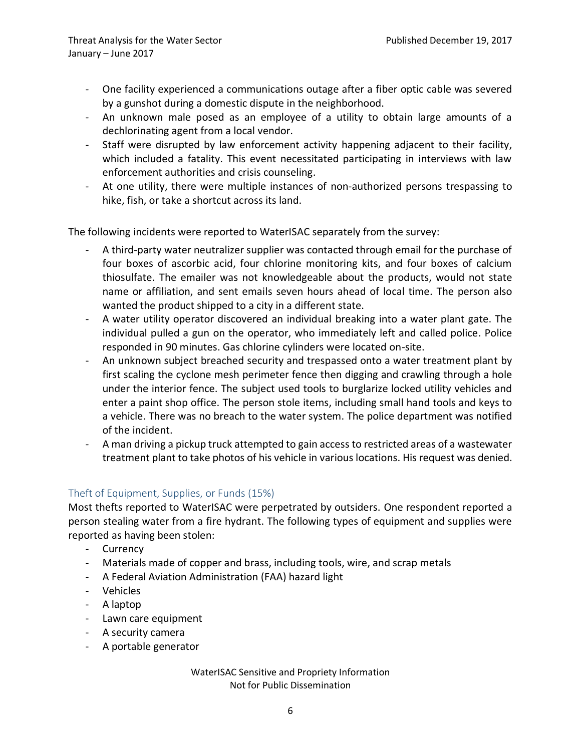- One facility experienced a communications outage after a fiber optic cable was severed by a gunshot during a domestic dispute in the neighborhood.
- An unknown male posed as an employee of a utility to obtain large amounts of a dechlorinating agent from a local vendor.
- Staff were disrupted by law enforcement activity happening adjacent to their facility, which included a fatality. This event necessitated participating in interviews with law enforcement authorities and crisis counseling.
- At one utility, there were multiple instances of non-authorized persons trespassing to hike, fish, or take a shortcut across its land.

The following incidents were reported to WaterISAC separately from the survey:

- A third-party water neutralizer supplier was contacted through email for the purchase of four boxes of ascorbic acid, four chlorine monitoring kits, and four boxes of calcium thiosulfate. The emailer was not knowledgeable about the products, would not state name or affiliation, and sent emails seven hours ahead of local time. The person also wanted the product shipped to a city in a different state.
- A water utility operator discovered an individual breaking into a water plant gate. The individual pulled a gun on the operator, who immediately left and called police. Police responded in 90 minutes. Gas chlorine cylinders were located on-site.
- An unknown subject breached security and trespassed onto a water treatment plant by first scaling the cyclone mesh perimeter fence then digging and crawling through a hole under the interior fence. The subject used tools to burglarize locked utility vehicles and enter a paint shop office. The person stole items, including small hand tools and keys to a vehicle. There was no breach to the water system. The police department was notified of the incident.
- A man driving a pickup truck attempted to gain access to restricted areas of a wastewater treatment plant to take photos of his vehicle in various locations. His request was denied.

# Theft of Equipment, Supplies, or Funds (15%)

Most thefts reported to WaterISAC were perpetrated by outsiders. One respondent reported a person stealing water from a fire hydrant. The following types of equipment and supplies were reported as having been stolen:

- Currency
- Materials made of copper and brass, including tools, wire, and scrap metals
- A Federal Aviation Administration (FAA) hazard light
- Vehicles
- A laptop
- Lawn care equipment
- A security camera
- A portable generator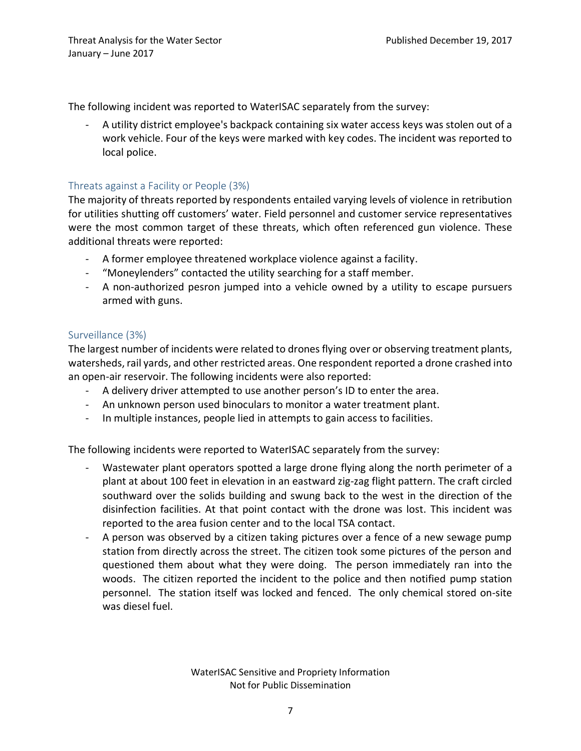The following incident was reported to WaterISAC separately from the survey:

A utility district employee's backpack containing six water access keys was stolen out of a work vehicle. Four of the keys were marked with key codes. The incident was reported to local police.

# Threats against a Facility or People (3%)

The majority of threats reported by respondents entailed varying levels of violence in retribution for utilities shutting off customers' water. Field personnel and customer service representatives were the most common target of these threats, which often referenced gun violence. These additional threats were reported:

- A former employee threatened workplace violence against a facility.
- "Moneylenders" contacted the utility searching for a staff member.
- A non-authorized pesron jumped into a vehicle owned by a utility to escape pursuers armed with guns.

# Surveillance (3%)

The largest number of incidents were related to drones flying over or observing treatment plants, watersheds, rail yards, and other restricted areas. One respondent reported a drone crashed into an open-air reservoir. The following incidents were also reported:

- A delivery driver attempted to use another person's ID to enter the area.
- An unknown person used binoculars to monitor a water treatment plant.
- In multiple instances, people lied in attempts to gain access to facilities.

The following incidents were reported to WaterISAC separately from the survey:

- Wastewater plant operators spotted a large drone flying along the north perimeter of a plant at about 100 feet in elevation in an eastward zig-zag flight pattern. The craft circled southward over the solids building and swung back to the west in the direction of the disinfection facilities. At that point contact with the drone was lost. This incident was reported to the area fusion center and to the local TSA contact.
- A person was observed by a citizen taking pictures over a fence of a new sewage pump station from directly across the street. The citizen took some pictures of the person and questioned them about what they were doing. The person immediately ran into the woods. The citizen reported the incident to the police and then notified pump station personnel. The station itself was locked and fenced. The only chemical stored on-site was diesel fuel.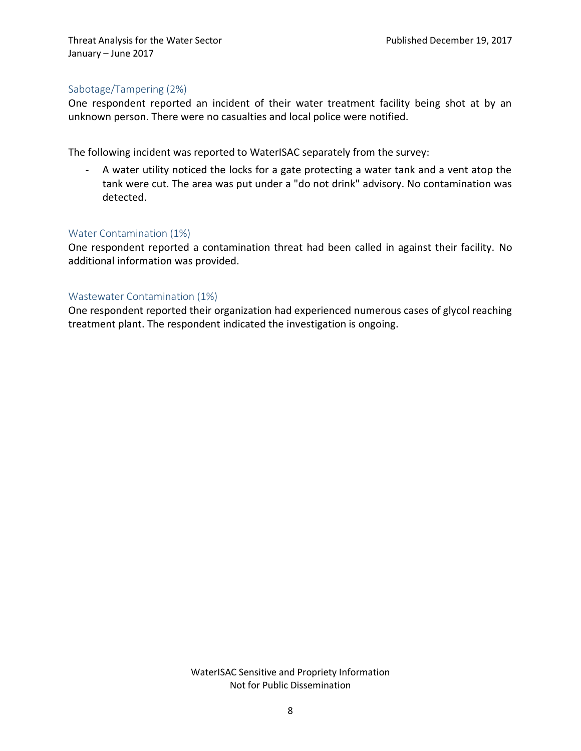## Sabotage/Tampering (2%)

One respondent reported an incident of their water treatment facility being shot at by an unknown person. There were no casualties and local police were notified.

The following incident was reported to WaterISAC separately from the survey:

- A water utility noticed the locks for a gate protecting a water tank and a vent atop the tank were cut. The area was put under a "do not drink" advisory. No contamination was detected.

## Water Contamination (1%)

One respondent reported a contamination threat had been called in against their facility. No additional information was provided.

## Wastewater Contamination (1%)

One respondent reported their organization had experienced numerous cases of glycol reaching treatment plant. The respondent indicated the investigation is ongoing.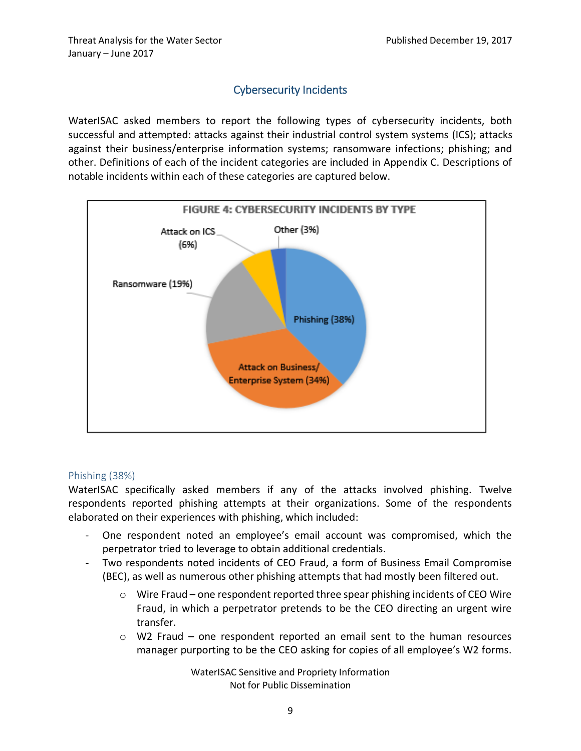# Cybersecurity Incidents

<span id="page-12-0"></span>WaterISAC asked members to report the following types of cybersecurity incidents, both successful and attempted: attacks against their industrial control system systems (ICS); attacks against their business/enterprise information systems; ransomware infections; phishing; and other. Definitions of each of the incident categories are included in Appendix C. Descriptions of notable incidents within each of these categories are captured below.



## Phishing (38%)

WaterISAC specifically asked members if any of the attacks involved phishing. Twelve respondents reported phishing attempts at their organizations. Some of the respondents elaborated on their experiences with phishing, which included:

- One respondent noted an employee's email account was compromised, which the perpetrator tried to leverage to obtain additional credentials.
- Two respondents noted incidents of CEO Fraud, a form of Business Email Compromise (BEC), as well as numerous other phishing attempts that had mostly been filtered out.
	- o Wire Fraud one respondent reported three spear phishing incidents of CEO Wire Fraud, in which a perpetrator pretends to be the CEO directing an urgent wire transfer.
	- o W2 Fraud one respondent reported an email sent to the human resources manager purporting to be the CEO asking for copies of all employee's W2 forms.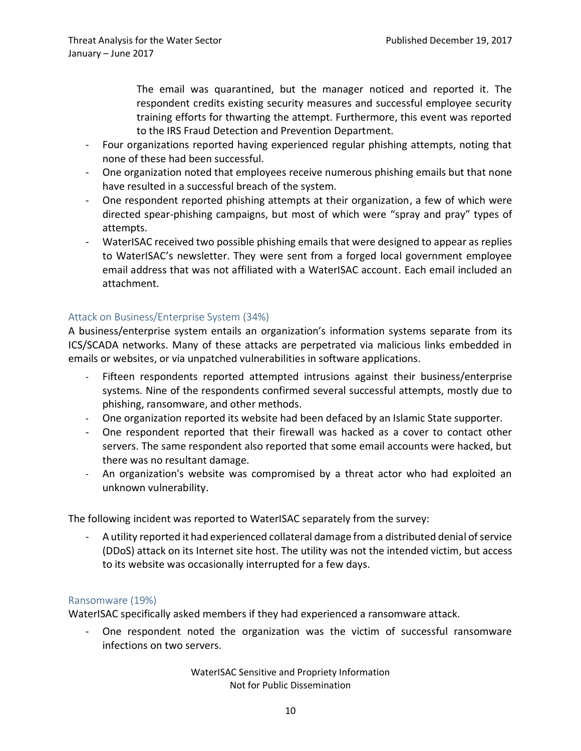The email was quarantined, but the manager noticed and reported it. The respondent credits existing security measures and successful employee security training efforts for thwarting the attempt. Furthermore, this event was reported to the IRS Fraud Detection and Prevention Department.

- Four organizations reported having experienced regular phishing attempts, noting that none of these had been successful.
- One organization noted that employees receive numerous phishing emails but that none have resulted in a successful breach of the system.
- One respondent reported phishing attempts at their organization, a few of which were directed spear-phishing campaigns, but most of which were "spray and pray" types of attempts.
- WaterISAC received two possible phishing emails that were designed to appear as replies to WaterISAC's newsletter. They were sent from a forged local government employee email address that was not affiliated with a WaterISAC account. Each email included an attachment.

# Attack on Business/Enterprise System (34%)

A business/enterprise system entails an organization's information systems separate from its ICS/SCADA networks. Many of these attacks are perpetrated via malicious links embedded in emails or websites, or via unpatched vulnerabilities in software applications.

- Fifteen respondents reported attempted intrusions against their business/enterprise systems. Nine of the respondents confirmed several successful attempts, mostly due to phishing, ransomware, and other methods.
- One organization reported its website had been defaced by an Islamic State supporter.
- One respondent reported that their firewall was hacked as a cover to contact other servers. The same respondent also reported that some email accounts were hacked, but there was no resultant damage.
- An organization's website was compromised by a threat actor who had exploited an unknown vulnerability.

The following incident was reported to WaterISAC separately from the survey:

- A utility reported it had experienced collateral damage from a distributed denial of service (DDoS) attack on its Internet site host. The utility was not the intended victim, but access to its website was occasionally interrupted for a few days.

## Ransomware (19%)

WaterISAC specifically asked members if they had experienced a ransomware attack.

- One respondent noted the organization was the victim of successful ransomware infections on two servers.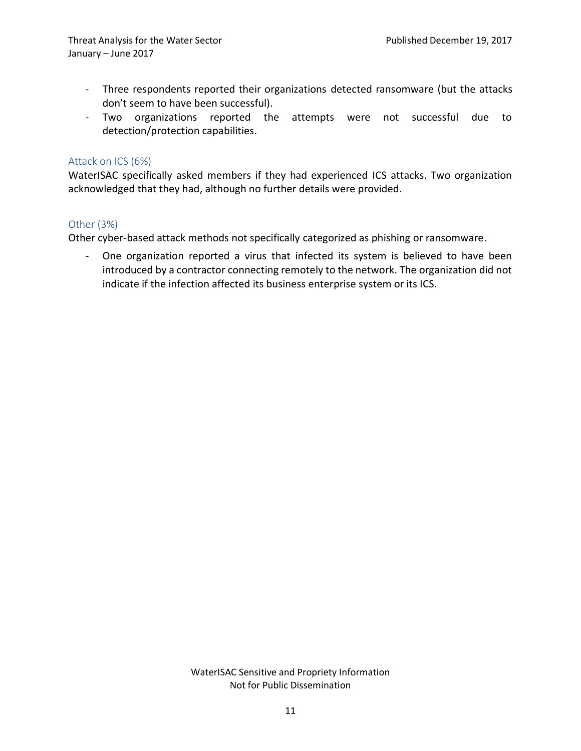- Three respondents reported their organizations detected ransomware (but the attacks don't seem to have been successful).
- Two organizations reported the attempts were not successful due to detection/protection capabilities.

## Attack on ICS (6%)

WaterISAC specifically asked members if they had experienced ICS attacks. Two organization acknowledged that they had, although no further details were provided.

## Other (3%)

Other cyber-based attack methods not specifically categorized as phishing or ransomware.

- One organization reported a virus that infected its system is believed to have been introduced by a contractor connecting remotely to the network. The organization did not indicate if the infection affected its business enterprise system or its ICS.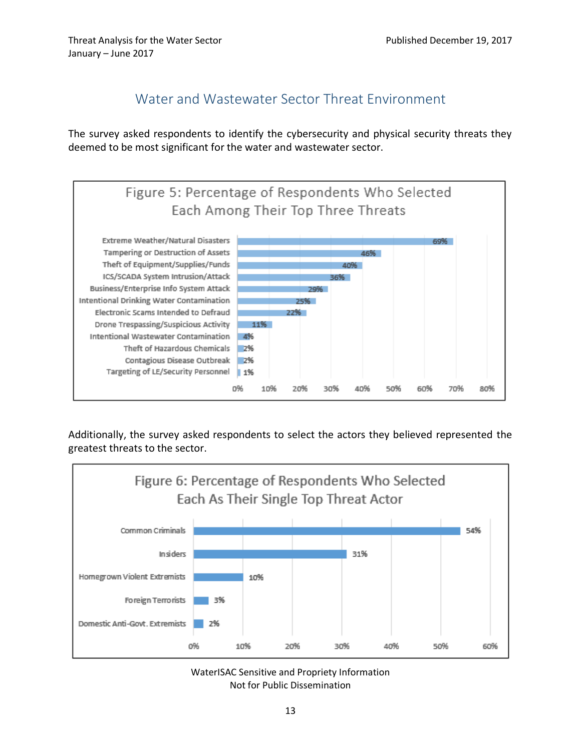# Water and Wastewater Sector Threat Environment

<span id="page-16-0"></span>The survey asked respondents to identify the cybersecurity and physical security threats they deemed to be most significant for the water and wastewater sector.



Additionally, the survey asked respondents to select the actors they believed represented the greatest threats to the sector.



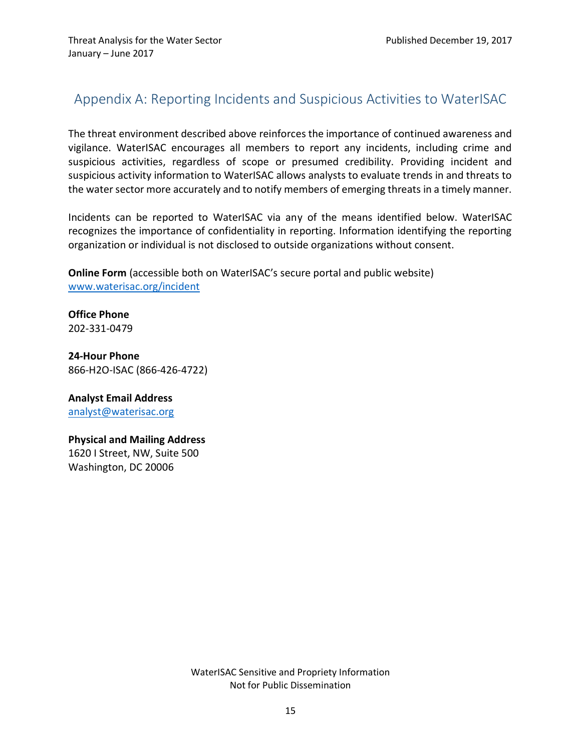# <span id="page-18-0"></span>Appendix A: Reporting Incidents and Suspicious Activities to WaterISAC

The threat environment described above reinforces the importance of continued awareness and vigilance. WaterISAC encourages all members to report any incidents, including crime and suspicious activities, regardless of scope or presumed credibility. Providing incident and suspicious activity information to WaterISAC allows analysts to evaluate trends in and threats to the water sector more accurately and to notify members of emerging threats in a timely manner.

Incidents can be reported to WaterISAC via any of the means identified below. WaterISAC recognizes the importance of confidentiality in reporting. Information identifying the reporting organization or individual is not disclosed to outside organizations without consent.

**Online Form** (accessible both on WaterISAC's secure portal and public website) [www.waterisac.org/incident](http://www.waterisac.org/incident)

**Office Phone** 202-331-0479

**24-Hour Phone** 866-H2O-ISAC (866-426-4722)

**Analyst Email Address** [analyst@waterisac.org](mailto:analyst@waterisac.org)

**Physical and Mailing Address** 1620 I Street, NW, Suite 500 Washington, DC 20006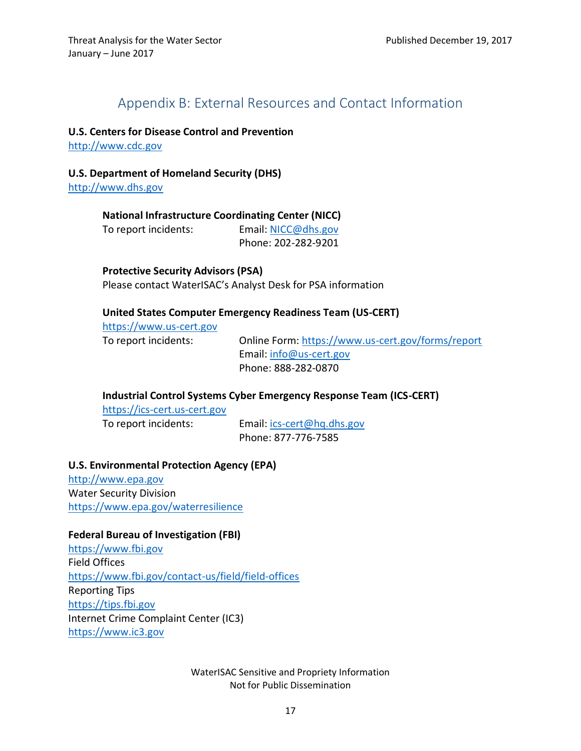# Appendix B: External Resources and Contact Information

#### <span id="page-20-0"></span>**U.S. Centers for Disease Control and Prevention**

[http://www.cdc.gov](http://www.cdc.gov/)

#### **U.S. Department of Homeland Security (DHS)**

[http://www.dhs.gov](http://www.dhs.gov/)

**National Infrastructure Coordinating Center (NICC)**  To report incidents: Email: [NICC@dhs.gov](mailto:nicc@dhs.gov) Phone: 202-282-9201

#### **Protective Security Advisors (PSA)**

Please contact WaterISAC's Analyst Desk for PSA information

#### **United States Computer Emergency Readiness Team (US-CERT)**

[https://www.us-cert.gov](https://www.us-cert.gov/)

To report incidents: Online Form:<https://www.us-cert.gov/forms/report> Email: [info@us-cert.gov](mailto:info@us-cert.gov) Phone: 888-282-0870

#### **Industrial Control Systems Cyber Emergency Response Team (ICS-CERT)**

[https://ics-cert.us-cert.gov](https://ics-cert.us-cert.gov/)

To report incidents: Email: [ics-cert@hq.dhs.gov](mailto:ics-cert@hq.dhs.gov) Phone: 877-776-7585

#### **U.S. Environmental Protection Agency (EPA)**

[http://www.epa.gov](http://www.epa.gov/) Water Security Division <https://www.epa.gov/waterresilience>

#### **Federal Bureau of Investigation (FBI)**

[https://www.fbi.gov](https://www.fbi.gov/) Field Offices <https://www.fbi.gov/contact-us/field/field-offices> Reporting Tips [https://tips.fbi.gov](https://tips.fbi.gov/) Internet Crime Complaint Center (IC3) [https://www.ic3.gov](https://www.ic3.gov/)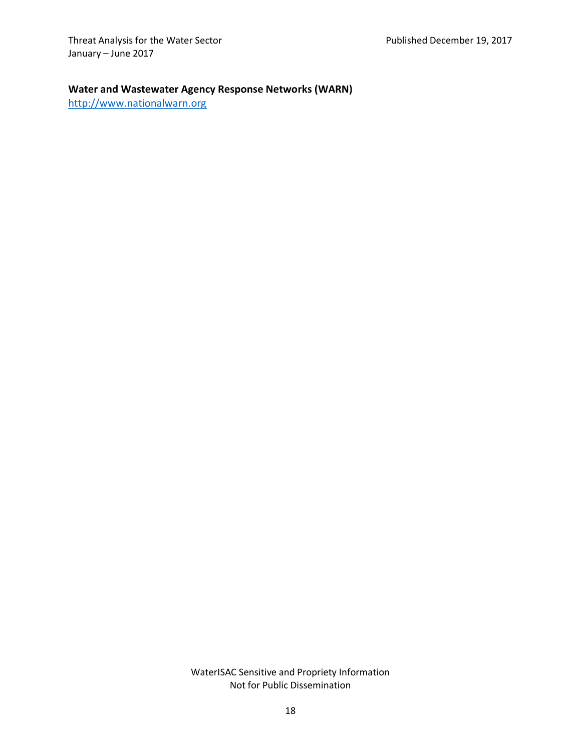## **Water and Wastewater Agency Response Networks (WARN)**

[http://www.nationalwarn.org](http://www.nationalwarn.org/)